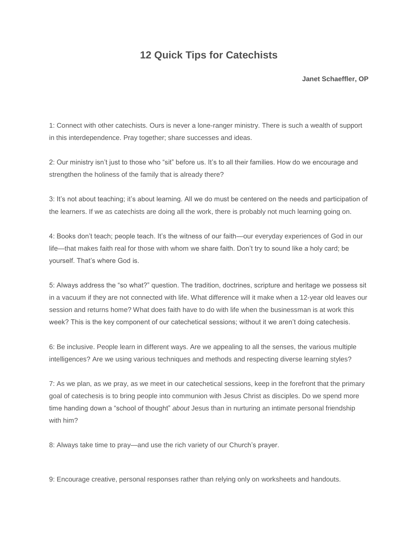## **12 Quick Tips for Catechists**

**Janet Schaeffler, OP**

1: Connect with other catechists. Ours is never a lone-ranger ministry. There is such a wealth of support in this interdependence. Pray together; share successes and ideas.

2: Our ministry isn't just to those who "sit" before us. It's to all their families. How do we encourage and strengthen the holiness of the family that is already there?

3: It's not about teaching; it's about learning. All we do must be centered on the needs and participation of the learners. If we as catechists are doing all the work, there is probably not much learning going on.

4: Books don't teach; people teach. It's the witness of our faith—our everyday experiences of God in our life—that makes faith real for those with whom we share faith. Don't try to sound like a holy card; be yourself. That's where God is.

5: Always address the "so what?" question. The tradition, doctrines, scripture and heritage we possess sit in a vacuum if they are not connected with life. What difference will it make when a 12-year old leaves our session and returns home? What does faith have to do with life when the businessman is at work this week? This is the key component of our catechetical sessions; without it we aren't doing catechesis.

6: Be inclusive. People learn in different ways. Are we appealing to all the senses, the various multiple intelligences? Are we using various techniques and methods and respecting diverse learning styles?

7: As we plan, as we pray, as we meet in our catechetical sessions, keep in the forefront that the primary goal of catechesis is to bring people into communion with Jesus Christ as disciples. Do we spend more time handing down a "school of thought" *about* Jesus than in nurturing an intimate personal friendship with him?

8: Always take time to pray—and use the rich variety of our Church's prayer.

9: Encourage creative, personal responses rather than relying only on worksheets and handouts.